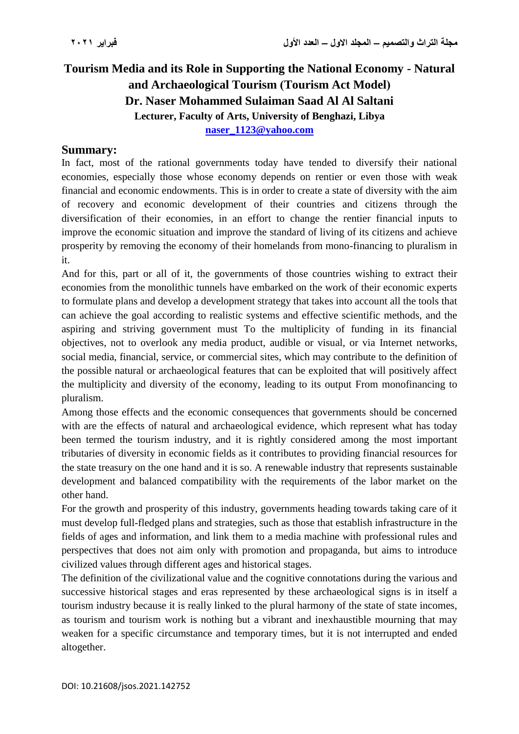# **Tourism Media and its Role in Supporting the National Economy - Natural**  and Archaeological Tourism (Tourism Act Model) **Dr. Naser Mohammed Sulaiman Saad Al Al Saltani Lecturer, Faculty of Arts, University of Benghazi, Libya [naser\\_1123@yahoo.com](mailto:naser_1123@yahoo.com)**

#### **Summary:**

In fact, most of the rational governments today have tended to diversify their national economies, especially those whose economy depends on rentier or even those with weak financial and economic endowments. This is in order to create a state of diversity with the aim of recovery and economic development of their countries and citizens through the diversification of their economies, in an effort to change the rentier financial inputs to improve the economic situation and improve the standard of living of its citizens and achieve prosperity by removing the economy of their homelands from mono-financing to pluralism in it.

And for this, part or all of it, the governments of those countries wishing to extract their economies from the monolithic tunnels have embarked on the work of their economic experts to formulate plans and develop a development strategy that takes into account all the tools that can achieve the goal according to realistic systems and effective scientific methods, and the aspiring and striving government must To the multiplicity of funding in its financial objectives, not to overlook any media product, audible or visual, or via Internet networks, social media, financial, service, or commercial sites, which may contribute to the definition of the possible natural or archaeological features that can be exploited that will positively affect the multiplicity and diversity of the economy, leading to its output From monofinancing to pluralism.

Among those effects and the economic consequences that governments should be concerned with are the effects of natural and archaeological evidence, which represent what has today been termed the tourism industry, and it is rightly considered among the most important tributaries of diversity in economic fields as it contributes to providing financial resources for the state treasury on the one hand and it is so. A renewable industry that represents sustainable development and balanced compatibility with the requirements of the labor market on the other hand.

For the growth and prosperity of this industry, governments heading towards taking care of it must develop full-fledged plans and strategies, such as those that establish infrastructure in the fields of ages and information, and link them to a media machine with professional rules and perspectives that does not aim only with promotion and propaganda, but aims to introduce civilized values through different ages and historical stages.

The definition of the civilizational value and the cognitive connotations during the various and successive historical stages and eras represented by these archaeological signs is in itself a tourism industry because it is really linked to the plural harmony of the state of state incomes, as tourism and tourism work is nothing but a vibrant and inexhaustible mourning that may weaken for a specific circumstance and temporary times, but it is not interrupted and ended altogether.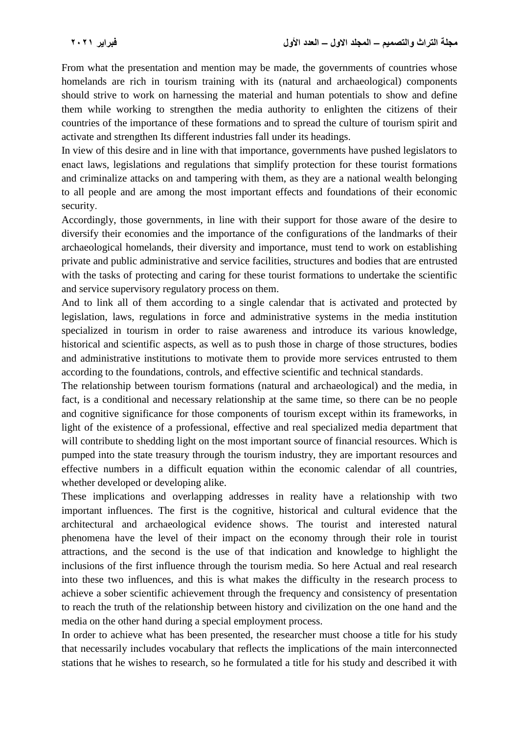From what the presentation and mention may be made, the governments of countries whose homelands are rich in tourism training with its (natural and archaeological) components should strive to work on harnessing the material and human potentials to show and define them while working to strengthen the media authority to enlighten the citizens of their countries of the importance of these formations and to spread the culture of tourism spirit and activate and strengthen Its different industries fall under its headings.

In view of this desire and in line with that importance, governments have pushed legislators to enact laws, legislations and regulations that simplify protection for these tourist formations and criminalize attacks on and tampering with them, as they are a national wealth belonging to all people and are among the most important effects and foundations of their economic security.

Accordingly, those governments, in line with their support for those aware of the desire to diversify their economies and the importance of the configurations of the landmarks of their archaeological homelands, their diversity and importance, must tend to work on establishing private and public administrative and service facilities, structures and bodies that are entrusted with the tasks of protecting and caring for these tourist formations to undertake the scientific and service supervisory regulatory process on them.

And to link all of them according to a single calendar that is activated and protected by legislation, laws, regulations in force and administrative systems in the media institution specialized in tourism in order to raise awareness and introduce its various knowledge, historical and scientific aspects, as well as to push those in charge of those structures, bodies and administrative institutions to motivate them to provide more services entrusted to them according to the foundations, controls, and effective scientific and technical standards.

The relationship between tourism formations (natural and archaeological) and the media, in fact, is a conditional and necessary relationship at the same time, so there can be no people and cognitive significance for those components of tourism except within its frameworks, in light of the existence of a professional, effective and real specialized media department that will contribute to shedding light on the most important source of financial resources. Which is pumped into the state treasury through the tourism industry, they are important resources and effective numbers in a difficult equation within the economic calendar of all countries, whether developed or developing alike.

These implications and overlapping addresses in reality have a relationship with two important influences. The first is the cognitive, historical and cultural evidence that the architectural and archaeological evidence shows. The tourist and interested natural phenomena have the level of their impact on the economy through their role in tourist attractions, and the second is the use of that indication and knowledge to highlight the inclusions of the first influence through the tourism media. So here Actual and real research into these two influences, and this is what makes the difficulty in the research process to achieve a sober scientific achievement through the frequency and consistency of presentation to reach the truth of the relationship between history and civilization on the one hand and the media on the other hand during a special employment process.

In order to achieve what has been presented, the researcher must choose a title for his study that necessarily includes vocabulary that reflects the implications of the main interconnected stations that he wishes to research, so he formulated a title for his study and described it with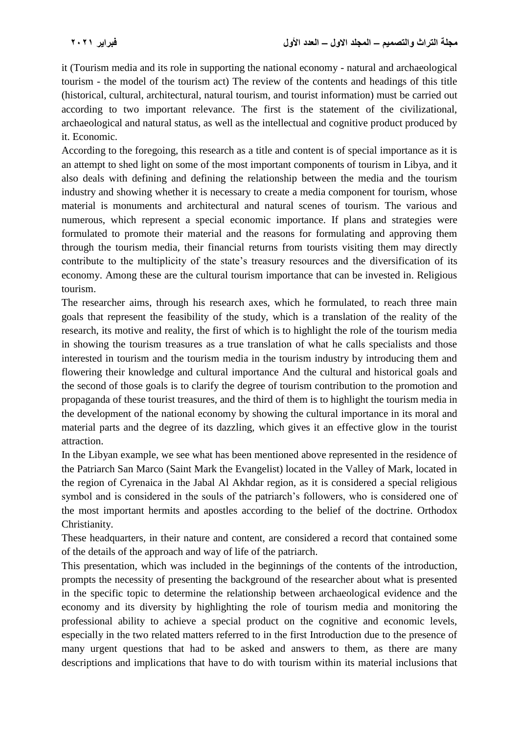it (Tourism media and its role in supporting the national economy - natural and archaeological tourism - the model of the tourism act) The review of the contents and headings of this title (historical, cultural, architectural, natural tourism, and tourist information) must be carried out according to two important relevance. The first is the statement of the civilizational, archaeological and natural status, as well as the intellectual and cognitive product produced by it. Economic.

According to the foregoing, this research as a title and content is of special importance as it is an attempt to shed light on some of the most important components of tourism in Libya, and it also deals with defining and defining the relationship between the media and the tourism industry and showing whether it is necessary to create a media component for tourism, whose material is monuments and architectural and natural scenes of tourism. The various and numerous, which represent a special economic importance. If plans and strategies were formulated to promote their material and the reasons for formulating and approving them through the tourism media, their financial returns from tourists visiting them may directly contribute to the multiplicity of the state's treasury resources and the diversification of its economy. Among these are the cultural tourism importance that can be invested in. Religious tourism.

The researcher aims, through his research axes, which he formulated, to reach three main goals that represent the feasibility of the study, which is a translation of the reality of the research, its motive and reality, the first of which is to highlight the role of the tourism media in showing the tourism treasures as a true translation of what he calls specialists and those interested in tourism and the tourism media in the tourism industry by introducing them and flowering their knowledge and cultural importance And the cultural and historical goals and the second of those goals is to clarify the degree of tourism contribution to the promotion and propaganda of these tourist treasures, and the third of them is to highlight the tourism media in the development of the national economy by showing the cultural importance in its moral and material parts and the degree of its dazzling, which gives it an effective glow in the tourist attraction.

In the Libyan example, we see what has been mentioned above represented in the residence of the Patriarch San Marco (Saint Mark the Evangelist) located in the Valley of Mark, located in the region of Cyrenaica in the Jabal Al Akhdar region, as it is considered a special religious symbol and is considered in the souls of the patriarch's followers, who is considered one of the most important hermits and apostles according to the belief of the doctrine. Orthodox Christianity.

These headquarters, in their nature and content, are considered a record that contained some of the details of the approach and way of life of the patriarch.

This presentation, which was included in the beginnings of the contents of the introduction, prompts the necessity of presenting the background of the researcher about what is presented in the specific topic to determine the relationship between archaeological evidence and the economy and its diversity by highlighting the role of tourism media and monitoring the professional ability to achieve a special product on the cognitive and economic levels, especially in the two related matters referred to in the first Introduction due to the presence of many urgent questions that had to be asked and answers to them, as there are many descriptions and implications that have to do with tourism within its material inclusions that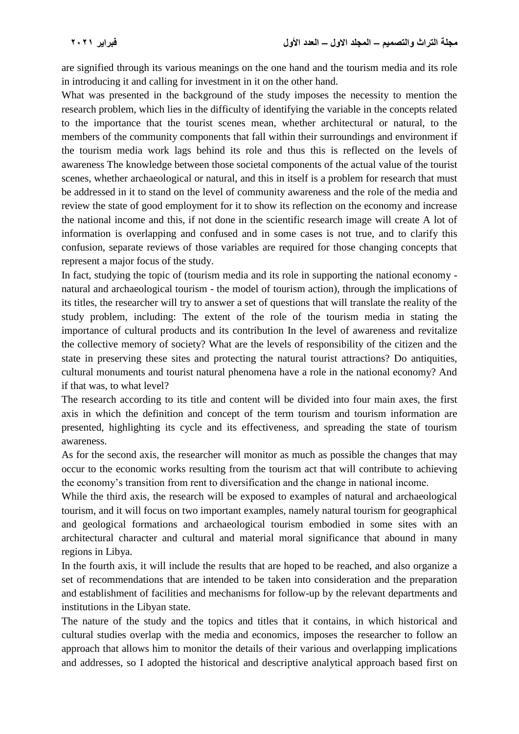are signified through its various meanings on the one hand and the tourism media and its role in introducing it and calling for investment in it on the other hand.

What was presented in the background of the study imposes the necessity to mention the research problem, which lies in the difficulty of identifying the variable in the concepts related to the importance that the tourist scenes mean, whether architectural or natural, to the members of the community components that fall within their surroundings and environment if the tourism media work lags behind its role and thus this is reflected on the levels of awareness The knowledge between those societal components of the actual value of the tourist scenes, whether archaeological or natural, and this in itself is a problem for research that must be addressed in it to stand on the level of community awareness and the role of the media and review the state of good employment for it to show its reflection on the economy and increase the national income and this, if not done in the scientific research image will create A lot of information is overlapping and confused and in some cases is not true, and to clarify this confusion, separate reviews of those variables are required for those changing concepts that represent a major focus of the study.

In fact, studying the topic of (tourism media and its role in supporting the national economy natural and archaeological tourism - the model of tourism action), through the implications of its titles, the researcher will try to answer a set of questions that will translate the reality of the study problem, including: The extent of the role of the tourism media in stating the importance of cultural products and its contribution In the level of awareness and revitalize the collective memory of society? What are the levels of responsibility of the citizen and the state in preserving these sites and protecting the natural tourist attractions? Do antiquities, cultural monuments and tourist natural phenomena have a role in the national economy? And if that was, to what level?

The research according to its title and content will be divided into four main axes, the first axis in which the definition and concept of the term tourism and tourism information are presented, highlighting its cycle and its effectiveness, and spreading the state of tourism awareness.

As for the second axis, the researcher will monitor as much as possible the changes that may occur to the economic works resulting from the tourism act that will contribute to achieving the economy's transition from rent to diversification and the change in national income.

While the third axis, the research will be exposed to examples of natural and archaeological tourism, and it will focus on two important examples, namely natural tourism for geographical and geological formations and archaeological tourism embodied in some sites with an architectural character and cultural and material moral significance that abound in many regions in Libya.

In the fourth axis, it will include the results that are hoped to be reached, and also organize a set of recommendations that are intended to be taken into consideration and the preparation and establishment of facilities and mechanisms for follow-up by the relevant departments and institutions in the Libyan state.

The nature of the study and the topics and titles that it contains, in which historical and cultural studies overlap with the media and economics, imposes the researcher to follow an approach that allows him to monitor the details of their various and overlapping implications and addresses, so I adopted the historical and descriptive analytical approach based first on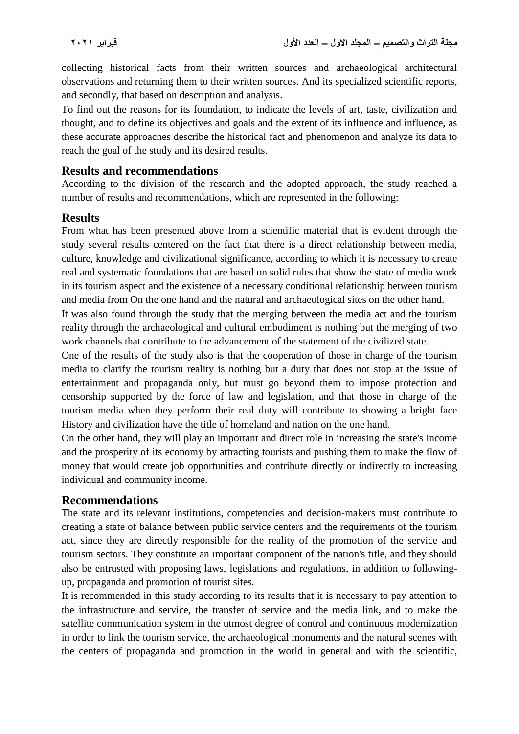collecting historical facts from their written sources and archaeological architectural observations and returning them to their written sources. And its specialized scientific reports, and secondly, that based on description and analysis.

To find out the reasons for its foundation, to indicate the levels of art, taste, civilization and thought, and to define its objectives and goals and the extent of its influence and influence, as these accurate approaches describe the historical fact and phenomenon and analyze its data to reach the goal of the study and its desired results.

#### **Results and recommendations**

According to the division of the research and the adopted approach, the study reached a number of results and recommendations, which are represented in the following:

#### **Results**

From what has been presented above from a scientific material that is evident through the study several results centered on the fact that there is a direct relationship between media, culture, knowledge and civilizational significance, according to which it is necessary to create real and systematic foundations that are based on solid rules that show the state of media work in its tourism aspect and the existence of a necessary conditional relationship between tourism and media from On the one hand and the natural and archaeological sites on the other hand.

It was also found through the study that the merging between the media act and the tourism reality through the archaeological and cultural embodiment is nothing but the merging of two work channels that contribute to the advancement of the statement of the civilized state.

One of the results of the study also is that the cooperation of those in charge of the tourism media to clarify the tourism reality is nothing but a duty that does not stop at the issue of entertainment and propaganda only, but must go beyond them to impose protection and censorship supported by the force of law and legislation, and that those in charge of the tourism media when they perform their real duty will contribute to showing a bright face History and civilization have the title of homeland and nation on the one hand.

On the other hand, they will play an important and direct role in increasing the state's income and the prosperity of its economy by attracting tourists and pushing them to make the flow of money that would create job opportunities and contribute directly or indirectly to increasing individual and community income.

### **Recommendations**

The state and its relevant institutions, competencies and decision-makers must contribute to creating a state of balance between public service centers and the requirements of the tourism act, since they are directly responsible for the reality of the promotion of the service and tourism sectors. They constitute an important component of the nation's title, and they should also be entrusted with proposing laws, legislations and regulations, in addition to followingup, propaganda and promotion of tourist sites.

It is recommended in this study according to its results that it is necessary to pay attention to the infrastructure and service, the transfer of service and the media link, and to make the satellite communication system in the utmost degree of control and continuous modernization in order to link the tourism service, the archaeological monuments and the natural scenes with the centers of propaganda and promotion in the world in general and with the scientific,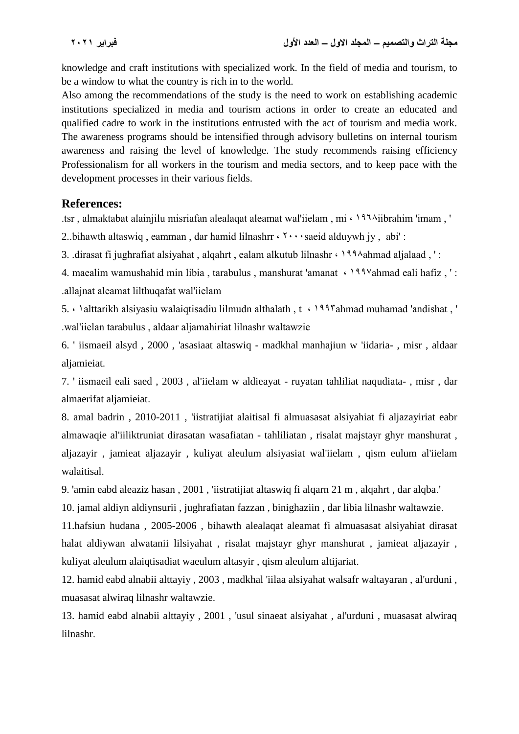knowledge and craft institutions with specialized work. In the field of media and tourism, to be a window to what the country is rich in to the world.

Also among the recommendations of the study is the need to work on establishing academic institutions specialized in media and tourism actions in order to create an educated and qualified cadre to work in the institutions entrusted with the act of tourism and media work. The awareness programs should be intensified through advisory bulletins on internal tourism awareness and raising the level of knowledge. The study recommends raising efficiency Professionalism for all workers in the tourism and media sectors, and to keep pace with the development processes in their various fields.

## **References:**

.tsr, almaktabat alainjilu misriafan alealaqat aleamat wal'iielam, mi (1954)iibrahim 'imam,

2.. bihawth altaswiq, eamman, dar hamid lilnashrr  $\cdots$ saeid alduywh jy, abi':

3. .dirasat fi jughrafiat alsiyahat, algahrt, ealam alkutub lilnashr (1994) ahmad aljalaad, ':

4. maealim wamushahid min libia, tarabulus, manshurat 'amanat  $\cdot$  \\*\*\\*\\*\\*\ahmad eali hafiz \rightarrow lamanat i range and individually individually individually individually individually individually individually indi .allajnat aleamat lilthuqafat wal'iielam

5. Dalttarikh alsiyasiu walaiqtisadiu lilmudn althalath, t < 1997ahmad muhamad 'andishat, ' .wal'iielan tarabulus, aldaar aljamahiriat lilnashr waltawzie

6. ' iismaeil alsyd , 2000 , 'asasiaat altaswiq - madkhal manhajiun w 'iidaria- , misr , aldaar aljamieiat.

7. ' iismaeil eali saed , 2003 , al'iielam w aldieayat - ruyatan tahliliat naqudiata- , misr , dar almaerifat aljamieiat.

8. amal badrin , 2010-2011 , 'iistratijiat alaitisal fi almuasasat alsiyahiat fi aljazayiriat eabr almawaqie al'iiliktruniat dirasatan wasafiatan - tahliliatan , risalat majstayr ghyr manshurat , aljazayir , jamieat aljazayir , kuliyat aleulum alsiyasiat wal'iielam , qism eulum al'iielam walaitisal.

9. 'amin eabd aleaziz hasan , 2001 , 'iistratijiat altaswiq fi alqarn 21 m , alqahrt , dar alqba.'

10. jamal aldiyn aldiynsurii , jughrafiatan fazzan , binighaziin , dar libia lilnashr waltawzie.

11.hafsiun hudana , 2005-2006 , bihawth alealaqat aleamat fi almuasasat alsiyahiat dirasat halat aldiywan alwatanii lilsiyahat , risalat majstayr ghyr manshurat , jamieat aljazayir , kuliyat aleulum alaiqtisadiat waeulum altasyir , qism aleulum altijariat.

12. hamid eabd alnabii alttayiy , 2003 , madkhal 'iilaa alsiyahat walsafr waltayaran , al'urduni , muasasat alwiraq lilnashr waltawzie.

13. hamid eabd alnabii alttayiy , 2001 , 'usul sinaeat alsiyahat , al'urduni , muasasat alwiraq lilnashr.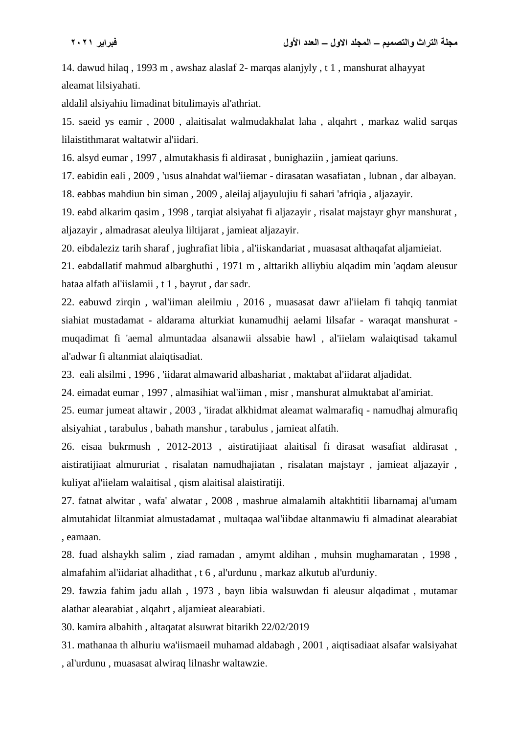14. dawud hilaq , 1993 m , awshaz alaslaf 2- marqas alanjyly , t 1 , manshurat alhayyat aleamat lilsiyahati.

aldalil alsiyahiu limadinat bitulimayis al'athriat.

15. saeid ys eamir , 2000 , alaitisalat walmudakhalat laha , alqahrt , markaz walid sarqas lilaistithmarat waltatwir al'iidari.

16. alsyd eumar , 1997 , almutakhasis fi aldirasat , bunighaziin , jamieat qariuns.

17. eabidin eali , 2009 , 'usus alnahdat wal'iiemar - dirasatan wasafiatan , lubnan , dar albayan.

18. eabbas mahdiun bin siman , 2009 , aleilaj aljayulujiu fi sahari 'afriqia , aljazayir.

19. eabd alkarim qasim , 1998 , tarqiat alsiyahat fi aljazayir , risalat majstayr ghyr manshurat , aljazayir , almadrasat aleulya liltijarat , jamieat aljazayir.

20. eibdaleziz tarih sharaf , jughrafiat libia , al'iiskandariat , muasasat althaqafat aljamieiat.

21. eabdallatif mahmud albarghuthi , 1971 m , alttarikh alliybiu alqadim min 'aqdam aleusur hataa alfath al'iislamii , t 1 , bayrut , dar sadr.

22. eabuwd zirqin , wal'iiman aleilmiu , 2016 , muasasat dawr al'iielam fi tahqiq tanmiat siahiat mustadamat - aldarama alturkiat kunamudhij aelami lilsafar - waraqat manshurat muqadimat fi 'aemal almuntadaa alsanawii alssabie hawl , al'iielam walaiqtisad takamul al'adwar fi altanmiat alaiqtisadiat.

23. eali alsilmi , 1996 , 'iidarat almawarid albashariat , maktabat al'iidarat aljadidat.

24. eimadat eumar , 1997 , almasihiat wal'iiman , misr , manshurat almuktabat al'amiriat.

25. eumar jumeat altawir , 2003 , 'iiradat alkhidmat aleamat walmarafiq - namudhaj almurafiq alsiyahiat , tarabulus , bahath manshur , tarabulus , jamieat alfatih.

26. eisaa bukrmush , 2012-2013 , aistiratijiaat alaitisal fi dirasat wasafiat aldirasat , aistiratijiaat almururiat , risalatan namudhajiatan , risalatan majstayr , jamieat aljazayir , kuliyat al'iielam walaitisal , qism alaitisal alaistiratiji.

27. fatnat alwitar , wafa' alwatar , 2008 , mashrue almalamih altakhtitii libarnamaj al'umam almutahidat liltanmiat almustadamat , multaqaa wal'iibdae altanmawiu fi almadinat alearabiat , eamaan.

28. fuad alshaykh salim , ziad ramadan , amymt aldihan , muhsin mughamaratan , 1998 , almafahim al'iidariat alhadithat , t 6 , al'urdunu , markaz alkutub al'urduniy.

29. fawzia fahim jadu allah , 1973 , bayn libia walsuwdan fi aleusur alqadimat , mutamar alathar alearabiat , alqahrt , aljamieat alearabiati.

30. kamira albahith , altaqatat alsuwrat bitarikh 22/02/2019

31. mathanaa th alhuriu wa'iismaeil muhamad aldabagh , 2001 , aiqtisadiaat alsafar walsiyahat , al'urdunu , muasasat alwiraq lilnashr waltawzie.